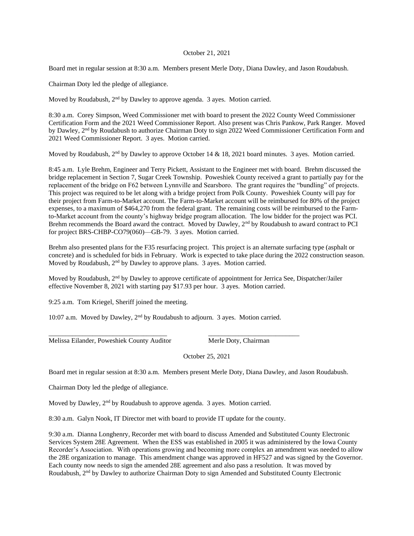## October 21, 2021

Board met in regular session at 8:30 a.m. Members present Merle Doty, Diana Dawley, and Jason Roudabush.

Chairman Doty led the pledge of allegiance.

Moved by Roudabush, 2<sup>nd</sup> by Dawley to approve agenda. 3 ayes. Motion carried.

8:30 a.m. Corey Simpson, Weed Commissioner met with board to present the 2022 County Weed Commissioner Certification Form and the 2021 Weed Commissioner Report. Also present was Chris Pankow, Park Ranger. Moved by Dawley, 2<sup>nd</sup> by Roudabush to authorize Chairman Doty to sign 2022 Weed Commissioner Certification Form and 2021 Weed Commissioner Report. 3 ayes. Motion carried.

Moved by Roudabush,  $2<sup>nd</sup>$  by Dawley to approve October 14 & 18, 2021 board minutes. 3 ayes. Motion carried.

8:45 a.m. Lyle Brehm, Engineer and Terry Pickett, Assistant to the Engineer met with board. Brehm discussed the bridge replacement in Section 7, Sugar Creek Township. Poweshiek County received a grant to partially pay for the replacement of the bridge on F62 between Lynnville and Searsboro. The grant requires the "bundling" of projects. This project was required to be let along with a bridge project from Polk County. Poweshiek County will pay for their project from Farm-to-Market account. The Farm-to-Market account will be reimbursed for 80% of the project expenses, to a maximum of \$464,270 from the federal grant. The remaining costs will be reimbursed to the Farmto-Market account from the county's highway bridge program allocation. The low bidder for the project was PCI. Brehm recommends the Board award the contract. Moved by Dawley, 2<sup>nd</sup> by Roudabush to award contract to PCI for project BRS-CHBP-CO79(060)—GB-79. 3 ayes. Motion carried.

Brehm also presented plans for the F35 resurfacing project. This project is an alternate surfacing type (asphalt or concrete) and is scheduled for bids in February. Work is expected to take place during the 2022 construction season. Moved by Roudabush,  $2<sup>nd</sup>$  by Dawley to approve plans. 3 ayes. Motion carried.

Moved by Roudabush, 2<sup>nd</sup> by Dawley to approve certificate of appointment for Jerrica See, Dispatcher/Jailer effective November 8, 2021 with starting pay \$17.93 per hour. 3 ayes. Motion carried.

9:25 a.m. Tom Kriegel, Sheriff joined the meeting.

10:07 a.m. Moved by Dawley, 2nd by Roudabush to adjourn. 3 ayes. Motion carried.

\_\_\_\_\_\_\_\_\_\_\_\_\_\_\_\_\_\_\_\_\_\_\_\_\_\_\_\_\_\_\_\_\_\_\_ \_\_\_\_\_\_\_\_\_\_\_\_\_\_\_\_\_\_\_\_\_\_\_\_\_\_\_

Melissa Eilander, Poweshiek County Auditor Merle Doty, Chairman

October 25, 2021

Board met in regular session at 8:30 a.m. Members present Merle Doty, Diana Dawley, and Jason Roudabush.

Chairman Doty led the pledge of allegiance.

Moved by Dawley,  $2<sup>nd</sup>$  by Roudabush to approve agenda. 3 ayes. Motion carried.

8:30 a.m. Galyn Nook, IT Director met with board to provide IT update for the county.

9:30 a.m. Dianna Longhenry, Recorder met with board to discuss Amended and Substituted County Electronic Services System 28E Agreement. When the ESS was established in 2005 it was administered by the Iowa County Recorder's Association. With operations growing and becoming more complex an amendment was needed to allow the 28E organization to manage. This amendment change was approved in HF527 and was signed by the Governor. Each county now needs to sign the amended 28E agreement and also pass a resolution. It was moved by Roudabush, 2nd by Dawley to authorize Chairman Doty to sign Amended and Substituted County Electronic